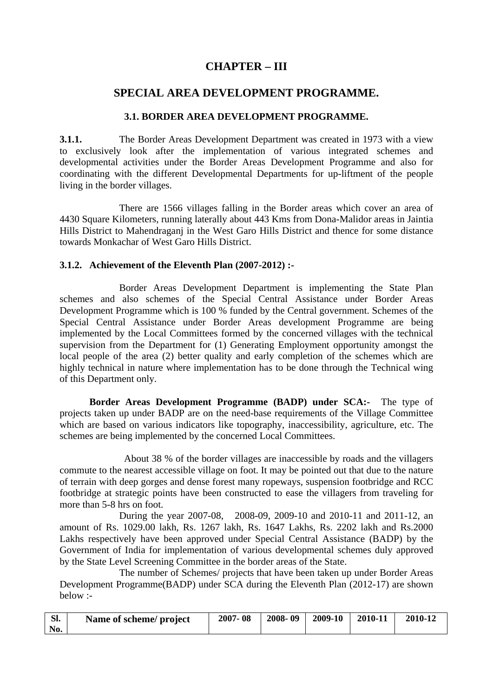## **CHAPTER – III**

## **SPECIAL AREA DEVELOPMENT PROGRAMME.**

### **3.1. BORDER AREA DEVELOPMENT PROGRAMME.**

**3.1.1.** The Border Areas Development Department was created in 1973 with a view to exclusively look after the implementation of various integrated schemes and developmental activities under the Border Areas Development Programme and also for coordinating with the different Developmental Departments for up-liftment of the people living in the border villages.

 There are 1566 villages falling in the Border areas which cover an area of 4430 Square Kilometers, running laterally about 443 Kms from Dona-Malidor areas in Jaintia Hills District to Mahendraganj in the West Garo Hills District and thence for some distance towards Monkachar of West Garo Hills District.

#### **3.1.2. Achievement of the Eleventh Plan (2007-2012) :-**

Border Areas Development Department is implementing the State Plan schemes and also schemes of the Special Central Assistance under Border Areas Development Programme which is 100 % funded by the Central government. Schemes of the Special Central Assistance under Border Areas development Programme are being implemented by the Local Committees formed by the concerned villages with the technical supervision from the Department for (1) Generating Employment opportunity amongst the local people of the area (2) better quality and early completion of the schemes which are highly technical in nature where implementation has to be done through the Technical wing of this Department only.

**Border Areas Development Programme (BADP) under SCA:-** The type of projects taken up under BADP are on the need-base requirements of the Village Committee which are based on various indicators like topography, inaccessibility, agriculture, etc. The schemes are being implemented by the concerned Local Committees.

 About 38 % of the border villages are inaccessible by roads and the villagers commute to the nearest accessible village on foot. It may be pointed out that due to the nature of terrain with deep gorges and dense forest many ropeways, suspension footbridge and RCC footbridge at strategic points have been constructed to ease the villagers from traveling for more than 5-8 hrs on foot.

 During the year 2007-08, 2008-09, 2009-10 and 2010-11 and 2011-12, an amount of Rs. 1029.00 lakh, Rs. 1267 lakh, Rs. 1647 Lakhs, Rs. 2202 lakh and Rs.2000 Lakhs respectively have been approved under Special Central Assistance (BADP) by the Government of India for implementation of various developmental schemes duly approved by the State Level Screening Committee in the border areas of the State.

 The number of Schemes/ projects that have been taken up under Border Areas Development Programme(BADP) under SCA during the Eleventh Plan (2012-17) are shown below :-

| Sl. | Name of scheme/ project | $2007 - 08$ | 2008-09 | 2009-10 | 2010-11 | 2010-12 |
|-----|-------------------------|-------------|---------|---------|---------|---------|
| No. |                         |             |         |         |         |         |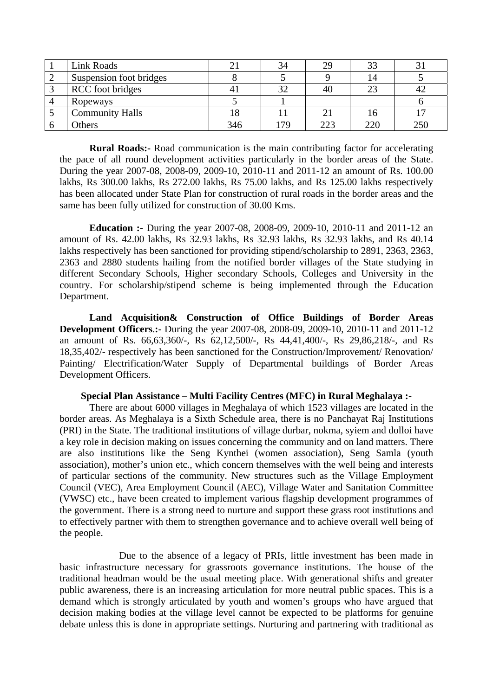| Link Roads              |     | 34  | 29   |     |
|-------------------------|-----|-----|------|-----|
| Suspension foot bridges |     |     |      |     |
| <b>RCC</b> foot bridges |     | 32  | -4ŧ. |     |
| Ropeways                |     |     |      |     |
| <b>Community Halls</b>  |     |     |      |     |
| Others                  | 346 | 179 | 223  | วรก |

 **Rural Roads:-** Road communication is the main contributing factor for accelerating the pace of all round development activities particularly in the border areas of the State. During the year 2007-08, 2008-09, 2009-10, 2010-11 and 2011-12 an amount of Rs. 100.00 lakhs, Rs 300.00 lakhs, Rs 272.00 lakhs, Rs 75.00 lakhs, and Rs 125.00 lakhs respectively has been allocated under State Plan for construction of rural roads in the border areas and the same has been fully utilized for construction of 30.00 Kms.

**Education :-** During the year 2007-08, 2008-09, 2009-10, 2010-11 and 2011-12 an amount of Rs. 42.00 lakhs, Rs 32.93 lakhs, Rs 32.93 lakhs, Rs 32.93 lakhs, and Rs 40.14 lakhs respectively has been sanctioned for providing stipend/scholarship to 2891, 2363, 2363, 2363 and 2880 students hailing from the notified border villages of the State studying in different Secondary Schools, Higher secondary Schools, Colleges and University in the country. For scholarship/stipend scheme is being implemented through the Education Department.

**Land Acquisition& Construction of Office Buildings of Border Areas Development Officers**.**:-** During the year 2007-08, 2008-09, 2009-10, 2010-11 and 2011-12 an amount of Rs. 66,63,360/-, Rs 62,12,500/-, Rs 44,41,400/-, Rs 29,86,218/-, and Rs 18,35,402/- respectively has been sanctioned for the Construction/Improvement/ Renovation/ Painting/ Electrification/Water Supply of Departmental buildings of Border Areas Development Officers.

#### **Special Plan Assistance – Multi Facility Centres (MFC) in Rural Meghalaya :-**

There are about 6000 villages in Meghalaya of which 1523 villages are located in the border areas. As Meghalaya is a Sixth Schedule area, there is no Panchayat Raj Institutions (PRI) in the State. The traditional institutions of village durbar, nokma, syiem and dolloi have a key role in decision making on issues concerning the community and on land matters. There are also institutions like the Seng Kynthei (women association), Seng Samla (youth association), mother's union etc., which concern themselves with the well being and interests of particular sections of the community. New structures such as the Village Employment Council (VEC), Area Employment Council (AEC), Village Water and Sanitation Committee (VWSC) etc., have been created to implement various flagship development programmes of the government. There is a strong need to nurture and support these grass root institutions and to effectively partner with them to strengthen governance and to achieve overall well being of the people.

Due to the absence of a legacy of PRIs, little investment has been made in basic infrastructure necessary for grassroots governance institutions. The house of the traditional headman would be the usual meeting place. With generational shifts and greater public awareness, there is an increasing articulation for more neutral public spaces. This is a demand which is strongly articulated by youth and women's groups who have argued that decision making bodies at the village level cannot be expected to be platforms for genuine debate unless this is done in appropriate settings. Nurturing and partnering with traditional as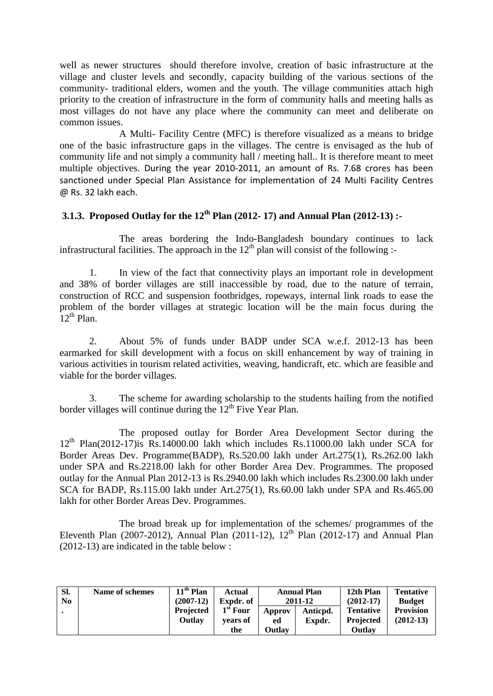well as newer structures should therefore involve, creation of basic infrastructure at the village and cluster levels and secondly, capacity building of the various sections of the community- traditional elders, women and the youth. The village communities attach high priority to the creation of infrastructure in the form of community halls and meeting halls as most villages do not have any place where the community can meet and deliberate on common issues.

A Multi- Facility Centre (MFC) is therefore visualized as a means to bridge one of the basic infrastructure gaps in the villages. The centre is envisaged as the hub of community life and not simply a community hall / meeting hall.. It is therefore meant to meet multiple objectives. During the year 2010‐2011, an amount of Rs. 7.68 crores has been sanctioned under Special Plan Assistance for implementation of 24 Multi Facility Centres @ Rs. 32 lakh each.

# **3.1.3. Proposed Outlay for the 12<sup>th</sup> Plan (2012-17) and Annual Plan (2012-13) :-**

 The areas bordering the Indo-Bangladesh boundary continues to lack infrastructural facilities. The approach in the  $12<sup>th</sup>$  plan will consist of the following :-

1. In view of the fact that connectivity plays an important role in development and 38% of border villages are still inaccessible by road, due to the nature of terrain, construction of RCC and suspension footbridges, ropeways, internal link roads to ease the problem of the border villages at strategic location will be the main focus during the  $12^{th}$  Plan.

2. About 5% of funds under BADP under SCA w.e.f. 2012-13 has been earmarked for skill development with a focus on skill enhancement by way of training in various activities in tourism related activities, weaving, handicraft, etc. which are feasible and viable for the border villages.

3. The scheme for awarding scholarship to the students hailing from the notified border villages will continue during the  $12<sup>th</sup>$  Five Year Plan.

The proposed outlay for Border Area Development Sector during the  $12<sup>th</sup>$  Plan(2012-17)is Rs.14000.00 lakh which includes Rs.11000.00 lakh under SCA for Border Areas Dev. Programme(BADP), Rs.520.00 lakh under Art.275(1), Rs.262.00 lakh under SPA and Rs.2218.00 lakh for other Border Area Dev. Programmes. The proposed outlay for the Annual Plan 2012-13 is Rs.2940.00 lakh which includes Rs.2300.00 lakh under SCA for BADP, Rs.115.00 lakh under Art.275(1), Rs.60.00 lakh under SPA and Rs.465.00 lakh for other Border Areas Dev. Programmes.

 The broad break up for implementation of the schemes/ programmes of the Eleventh Plan (2007-2012), Annual Plan (2011-12),  $12<sup>th</sup>$  Plan (2012-17) and Annual Plan (2012-13) are indicated in the table below :

| SI.<br>N <sub>0</sub> | Name of schemes | 11 <sup>th</sup> Plan<br>$(2007-12)$ | Actual<br>Expdr. of | <b>Annual Plan</b><br>2011-12 |          | 12th Plan<br>$(2012-17)$ | <b>Tentative</b><br><b>Budget</b> |
|-----------------------|-----------------|--------------------------------------|---------------------|-------------------------------|----------|--------------------------|-----------------------------------|
|                       |                 | <b>Projected</b>                     | $1st$ Four          | Approv                        | Anticpd. | <b>Tentative</b>         | <b>Provision</b>                  |
|                       |                 | Outlay                               | vears of            | ed                            | Expdr.   | <b>Projected</b>         | $(2012-13)$                       |
|                       |                 |                                      | the                 | Outlav                        |          | Outlay                   |                                   |